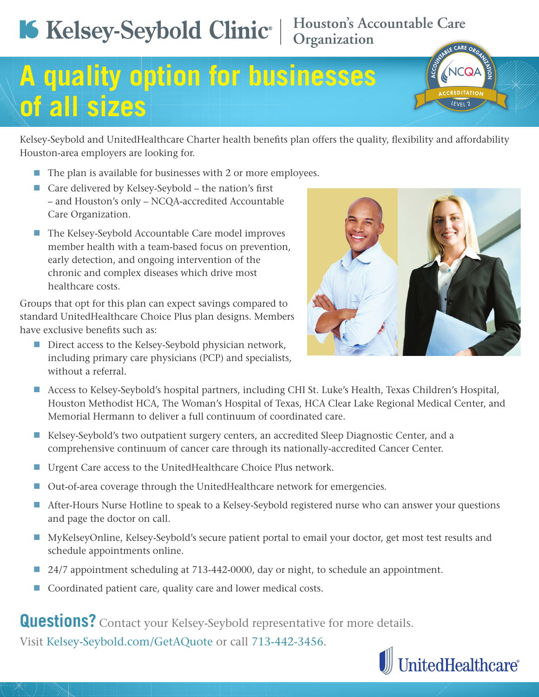## **Houston's Accountable Care Organization**



Kelsey-Seybold and UnitedHealthcare Charter health benefits plan offers the quality, flexibility and affordability Houston-area employers are looking for.

- $\blacksquare$  The plan is available for businesses with 2 or more employees.
- Care delivered by Kelsey-Seybold the nation's first – and Houston's only – NCQA-accredited Accountable Care Organization.
- The Kelsey-Seybold Accountable Care model improves member health with a team-based focus on prevention, early detection, and ongoing intervention of the chronic and complex diseases which drive most healthcare costs.

Groups that opt for this plan can expect savings compared to standard UnitedHealthcare Choice Plus plan designs. Members have exclusive benefits such as:

Direct access to the Kelsey-Seybold physician network, including primary care physicians (PCP) and specialists, without a referral.



- Access to Kelsey-Seybold's hospital partners, including CHI St. Luke's Health, Texas Children's Hospital, Houston Methodist HCA, The Woman's Hospital of Texas, HCA Clear Lake Regional Medical Center, and Memorial Hermann to deliver a full continuum of coordinated care.
- Kelsey-Seybold's two outpatient surgery centers, an accredited Sleep Diagnostic Center, and a comprehensive continuum of cancer care through its nationally-accredited Cancer Center.
- Urgent Care access to the UnitedHealthcare Choice Plus network.
- Out-of-area coverage through the UnitedHealthcare network for emergencies.
- After-Hours Nurse Hotline to speak to a Kelsey-Seybold registered nurse who can answer your questions and page the doctor on call.
- MyKelseyOnline, Kelsey-Seybold's secure patient portal to email your doctor, get most test results and schedule appointments online.
- 24/7 appointment scheduling at 713-442-0000, day or night, to schedule an appointment.
- Coordinated patient care, quality care and lower medical costs.

**Questions?** Contact your Kelsey-Seybold representative for more details.

Visit Kelsey-Seybold.com/GetAQuote or call 713-442-3456.